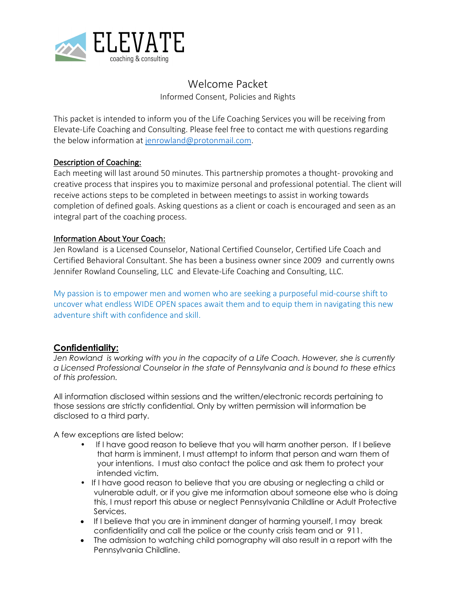

# Welcome Packet

Informed Consent, Policies and Rights

This packet is intended to inform you of the Life Coaching Services you will be receiving from Elevate-Life Coaching and Consulting. Please feel free to contact me with questions regarding the below information at jenrowland@protonmail.com.

### Description of Coaching:

Each meeting will last around 50 minutes. This partnership promotes a thought- provoking and creative process that inspires you to maximize personal and professional potential. The client will receive actions steps to be completed in between meetings to assist in working towards completion of defined goals. Asking questions as a client or coach is encouraged and seen as an integral part of the coaching process.

### Information About Your Coach:

Jen Rowland is a Licensed Counselor, National Certified Counselor, Certified Life Coach and Certified Behavioral Consultant. She has been a business owner since 2009 and currently owns Jennifer Rowland Counseling, LLC and Elevate-Life Coaching and Consulting, LLC.

My passion is to empower men and women who are seeking a purposeful mid-course shift to uncover what endless WIDE OPEN spaces await them and to equip them in navigating this new adventure shift with confidence and skill.

## **Confidentiality:**

*Jen Rowland is working with you in the capacity of a Life Coach. However, she is currently a Licensed Professional Counselor in the state of Pennsylvania and is bound to these ethics of this profession.* 

All information disclosed within sessions and the written/electronic records pertaining to those sessions are strictly confidential. Only by written permission will information be disclosed to a third party.

A few exceptions are listed below:

- If I have good reason to believe that you will harm another person. If I believe that harm is imminent, I must attempt to inform that person and warn them of your intentions. I must also contact the police and ask them to protect your intended victim.
- If I have good reason to believe that you are abusing or neglecting a child or vulnerable adult, or if you give me information about someone else who is doing this, I must report this abuse or neglect Pennsylvania Childline or Adult Protective Services.
- If I believe that you are in imminent danger of harming yourself, I may break confidentiality and call the police or the county crisis team and or 911.
- The admission to watching child pornography will also result in a report with the Pennsylvania Childline.